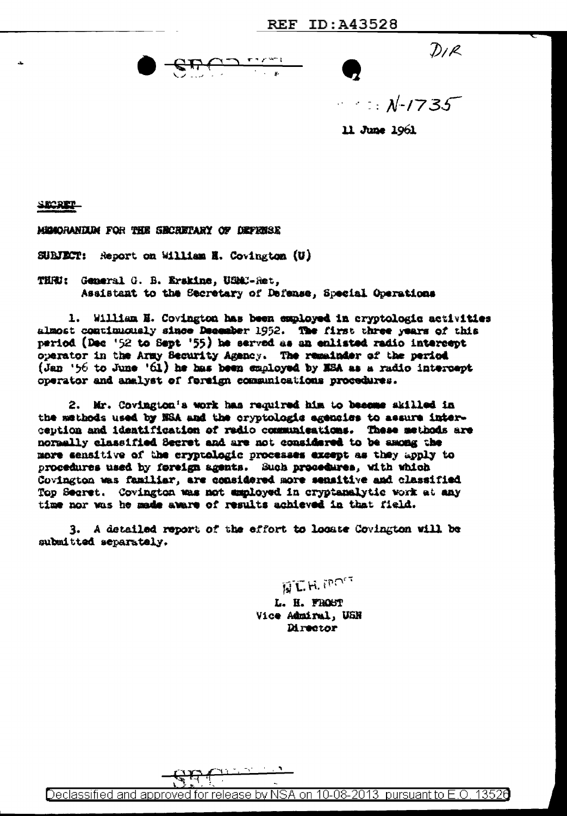$D/R$ 

 $\mathcal{N}$  :  $\mathcal{N}$  -1735

11 June 1961

SECRET

MIMORANIUM FOR THE SECRETARY OF DEFENSE

SURJECT: Report on William H. Covington (U)

THRU: General G. B. Erskine, USMC-Ret. Assistant to the Secretary of Defense, Special Operations

1. William E. Covington has been employed in cryptologic activities almost continuously since December 1952. The first three years of this period (Dec '52 to Sept '55) he served as an enlisted radio intercept operator in the Army Security Agency. The remainder of the period (Jan '56 to June '61) he has been employed by NSA as a radio intercept operator and analyst of foreign communications procedures.

2. Mr. Covington's work has required him to become skilled in the methods used by NSA and the cryptologic agencies to assure interception and identification of redio communications. These methods are normally classified Secret and are not considered to be among the more sensitive of the cryptologic processes except as they apply to procedures used by foreign agents. Such procedures, with which Covington was familiar, are considered more sensitive and classified Top Secret. Covington was not employed in cryptanalytic work at any time nor was he made aware of results achieved in that field.

3. A detailed report of the effort to locate Covington will be submitted separately.

**NT.H. MONT** 

L. H. FROST Vice Admiral, USN Director

Declassified and approved for release by NSA on 10-08-2013 pursuant to E.O. 13526